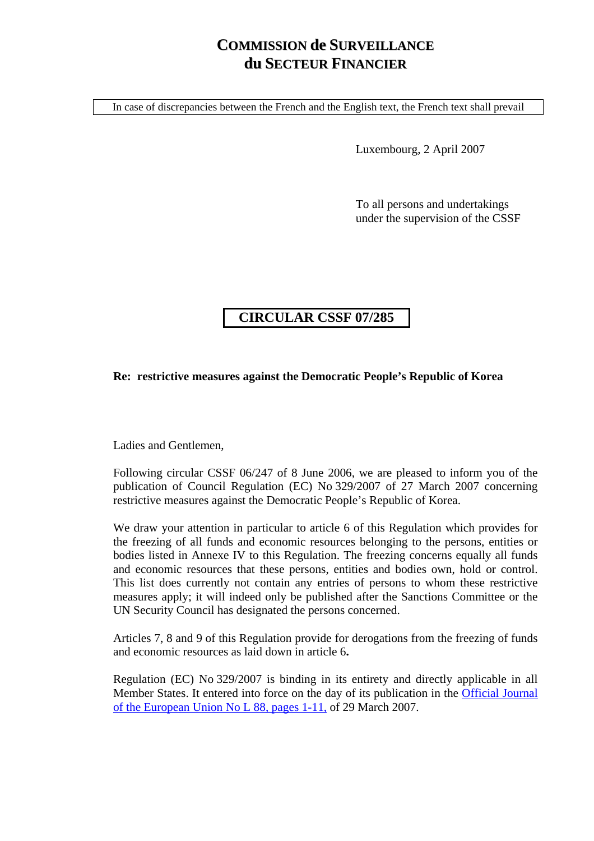## **COMMISSION de SURVEILLANCE du SECTEUR FINANCIER**

In case of discrepancies between the French and the English text, the French text shall prevail

Luxembourg, 2 April 2007

To all persons and undertakings under the supervision of the CSSF

## **CIRCULAR CSSF 07/285**

## **Re: restrictive measures against the Democratic People's Republic of Korea**

Ladies and Gentlemen,

Following circular CSSF 06/247 of 8 June 2006, we are pleased to inform you of the publication of Council Regulation (EC) No 329/2007 of 27 March 2007 concerning restrictive measures against the Democratic People's Republic of Korea.

We draw your attention in particular to article 6 of this Regulation which provides for the freezing of all funds and economic resources belonging to the persons, entities or bodies listed in Annexe IV to this Regulation. The freezing concerns equally all funds and economic resources that these persons, entities and bodies own, hold or control. This list does currently not contain any entries of persons to whom these restrictive measures apply; it will indeed only be published after the Sanctions Committee or the UN Security Council has designated the persons concerned.

Articles 7, 8 and 9 of this Regulation provide for derogations from the freezing of funds and economic resources as laid down in article 6**.** 

Regulation (EC) No 329/2007 is binding in its entirety and directly applicable in all Member States. It entered into force on the day of its publication in the [Official Journal](http://eur-lex.europa.eu/LexUriServ/site/en/oj/2007/l_088/l_08820070329en00010011.pdf)  [of the European Union No L 88, pages 1-11,](http://eur-lex.europa.eu/LexUriServ/site/en/oj/2007/l_088/l_08820070329en00010011.pdf) of 29 March 2007.